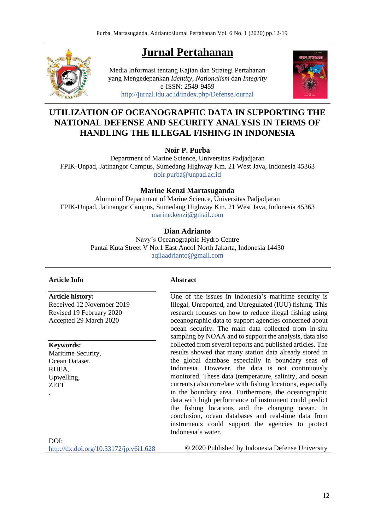# **Jurnal Pertahanan**



Media Informasi tentang Kajian dan Strategi Pertahanan yang Mengedepankan *Identity*, *Nationalism* dan *Integrity* e-ISSN: 2549-9459 <http://jurnal.idu.ac.id/index.php/DefenseJournal>



# **UTILIZATION OF OCEANOGRAPHIC DATA IN SUPPORTING THE NATIONAL DEFENSE AND SECURITY ANALYSIS IN TERMS OF HANDLING THE ILLEGAL FISHING IN INDONESIA**

**Noir P. Purba**

Department of Marine Science, Universitas Padjadjaran FPIK-Unpad, Jatinangor Campus, Sumedang Highway Km. 21 West Java, Indonesia 45363 [noir.purba@unpad.ac.id](mailto:noir.purba@unpad.ac.id)

## **Marine Kenzi Martasuganda**

Alumni of Department of Marine Science, Universitas Padjadjaran FPIK-Unpad, Jatinangor Campus, Sumedang Highway Km. 21 West Java, Indonesia 45363 [marine.kenzi@gmail.com](mailto:marine.kenzi@gmail.com)

## **Dian Adrianto**

Navy's Oceanographic Hydro Centre Pantai Kuta Street V No.1 East Ancol North Jakarta, Indonesia 14430 [aqilaadrianto@gmail.com](mailto:aqilaadrianto@gmail.com)

#### **Article Info**

**Article history:** 

Received 12 November 2019 Revised 19 February 2020 Accepted 29 March 2020

**Keywords:**

.

Maritime Security, Ocean Dataset, RHEA, Upwelling, **ZEEI** 

#### **Abstract**

One of the issues in Indonesia's maritime security is Illegal, Unreported, and Unregulated (IUU) fishing. This research focuses on how to reduce illegal fishing using oceanographic data to support agencies concerned about ocean security. The main data collected from in-situ sampling by NOAA and to support the analysis, data also collected from several reports and published articles. The results showed that many station data already stored in the global database especially in boundary seas of Indonesia. However, the data is not continuously monitored. These data (temperature, salinity, and ocean currents) also correlate with fishing locations, especially in the boundary area. Furthermore, the oceanographic data with high performance of instrument could predict the fishing locations and the changing ocean. In conclusion, ocean databases and real-time data from instruments could support the agencies to protect Indonesia's water.

DOI: <http://dx.doi.org/10.33172/jp.v6i1.628>

© 2020 Published by Indonesia Defense University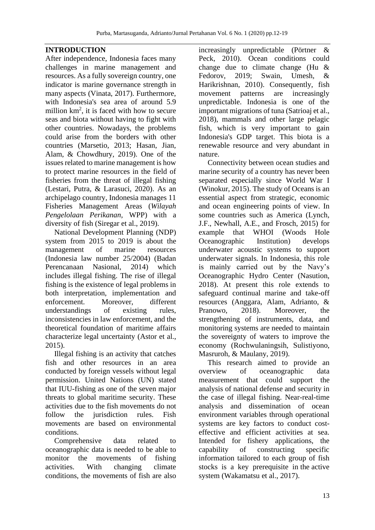## **INTRODUCTION**

After independence, Indonesia faces many challenges in marine management and resources. As a fully sovereign country, one indicator is marine governance strength in many aspects (Vinata, 2017). Furthermore, with Indonesia's sea area of around 5.9 million  $km^2$ , it is faced with how to secure seas and biota without having to fight with other countries. Nowadays, the problems could arise from the borders with other countries (Marsetio, 2013; Hasan, Jian, Alam, & Chowdhury, 2019). One of the issues related to marine management is how to protect marine resources in the field of fisheries from the threat of illegal fishing (Lestari, Putra, & Larasuci, 2020). As an archipelago country, Indonesia manages 11 Fisheries Management Areas (*Wilayah Pengelolaan Perikanan,* WPP) with a diversity of fish (Siregar et al., 2019).

National Development Planning (NDP) system from 2015 to 2019 is about the management of marine resources (Indonesia law number 25/2004) (Badan Perencanaan Nasional, 2014) which includes illegal fishing. The rise of illegal fishing is the existence of legal problems in both interpretation, implementation and enforcement. Moreover, different understandings of existing rules, inconsistencies in law enforcement, and the theoretical foundation of maritime affairs characterize legal uncertainty (Astor et al., 2015).

Illegal fishing is an activity that catches fish and other resources in an area conducted by foreign vessels without legal permission. United Nations (UN) stated that IUU-fishing as one of the seven major threats to global maritime security. These activities due to the fish movements do not follow the jurisdiction rules. Fish movements are based on environmental conditions.

Comprehensive data related to oceanographic data is needed to be able to monitor the movements of fishing activities. With changing climate conditions, the movements of fish are also increasingly unpredictable (Pörtner & Peck, 2010). Ocean conditions could change due to climate change (Hu & Fedorov, 2019; Swain, Umesh, & Harikrishnan, 2010). Consequently, fish movement patterns are increasingly unpredictable. Indonesia is one of the important migrations of tuna (Satrioaj et al., 2018), mammals and other large pelagic fish, which is very important to gain Indonesia's GDP target. This biota is a renewable resource and very abundant in nature.

Connectivity between ocean studies and marine security of a country has never been separated especially since World War I (Winokur, 2015). The study of Oceans is an essential aspect from strategic, economic and ocean engineering points of view. In some countries such as America (Lynch, J.F., Newhall, A.E., and Frosch, 2015) for example that WHOI (Woods Hole Oceanographic Institution) develops underwater acoustic systems to support underwater signals. In Indonesia, this role is mainly carried out by the Navy's Oceanographic Hydro Center (Nasution, 2018). At present this role extends to safeguard continual marine and take-off resources (Anggara, Alam, Adrianto, & Pranowo, 2018). Moreover, the strengthening of instruments, data, and monitoring systems are needed to maintain the sovereignty of waters to improve the economy (Rochwulaningsih, Sulistiyono, Masruroh, & Maulany, 2019).

This research aimed to provide an overview of oceanographic data measurement that could support the analysis of national defense and security in the case of illegal fishing. Near-real-time analysis and dissemination of ocean environment variables through operational systems are key factors to conduct costeffective and efficient activities at sea. Intended for fishery applications, the capability of constructing specific information tailored to each group of fish stocks is a key prerequisite in the active system (Wakamatsu et al., 2017).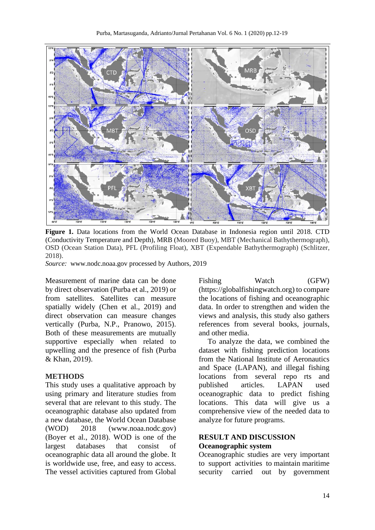

**Figure 1.** Data locations from the World Ocean Database in Indonesia region until 2018. CTD (Conductivity Temperature and Depth), MRB (Moored Buoy), MBT (Mechanical Bathythermograph), OSD (Ocean Station Data), PFL (Profiling Float), XBT (Expendable Bathythermograph) (Schlitzer, 2018).

*Source:* www.nodc.noaa.gov processed by Authors, 2019

Measurement of marine data can be done by direct observation (Purba et al., 2019) or from satellites. Satellites can measure spatially widely (Chen et al., 2019) and direct observation can measure changes vertically (Purba, N.P., Pranowo, 2015). Both of these measurements are mutually supportive especially when related to upwelling and the presence of fish (Purba & Khan, 2019).

## **METHODS**

This study uses a qualitative approach by using primary and literature studies from several that are relevant to this study. The oceanographic database also updated from a new database, the World Ocean Database (WOD) 2018 [\(www.noaa.nodc.gov\)](http://www.noaa.nodc.gov/) (Boyer et al., 2018). WOD is one of the largest databases that consist of oceanographic data all around the globe. It is worldwide use, free, and easy to access. The vessel activities captured from Global Fishing Watch (GFW) [\(https://globalfishingwatch.org\)](https://globalfishingwatch.org/) to compare the locations of fishing and oceanographic data. In order to strengthen and widen the views and analysis, this study also gathers references from several books, journals, and other media.

To analyze the data, we combined the dataset with fishing prediction locations from the [National Institute of Aeronautics](https://en.wikipedia.org/wiki/National_Institute_of_Aeronautics_and_Space)  [and Space \(LAPAN\), and illegal fishing](https://en.wikipedia.org/wiki/National_Institute_of_Aeronautics_and_Space)  [locations from several repo](https://en.wikipedia.org/wiki/National_Institute_of_Aeronautics_and_Space) rts and [published articles. LAPAN used](https://en.wikipedia.org/wiki/National_Institute_of_Aeronautics_and_Space)  [oceanographic data to predict fishing](https://en.wikipedia.org/wiki/National_Institute_of_Aeronautics_and_Space)  [locations. This data will give us a](https://en.wikipedia.org/wiki/National_Institute_of_Aeronautics_and_Space)  [comprehensive view of](https://en.wikipedia.org/wiki/National_Institute_of_Aeronautics_and_Space) the needed data to [analyze for future programs.](https://en.wikipedia.org/wiki/National_Institute_of_Aeronautics_and_Space)

## **RESULT AND DISCUSSION Oceanographic system**

Oceanographic studies are very important to support activities to maintain maritime security carried out by government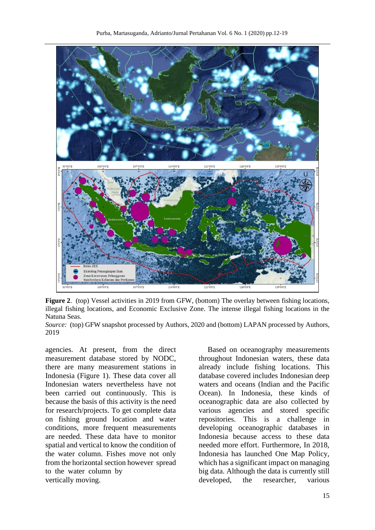

**Figure 2**. (top) Vessel activities in 2019 from GFW, (bottom) The overlay between fishing locations, illegal fishing locations, and Economic Exclusive Zone. The intense illegal fishing locations in the Natuna Seas.

*Source:* (top) GFW snapshot processed by Authors, 2020 and (bottom) LAPAN processed by Authors, 2019

agencies. At present, from the direct measurement database stored by NODC, there are many measurement stations in Indonesia (Figure 1). These data cover all Indonesian waters nevertheless have not been carried out continuously. This is because the basis of this activity is the need for research/projects. To get complete data on fishing ground location and water conditions, more frequent measurements are needed. These data have to monitor spatial and vertical to know the condition of the water column. Fishes move not only from the horizontal section however spread to the water column by vertically moving.

Based on oceanography measurements throughout Indonesian waters, these data already include fishing locations. This database covered includes Indonesian deep waters and oceans (Indian and the Pacific Ocean). In Indonesia, these kinds of oceanographic data are also collected by various agencies and stored specific repositories. This is a challenge in developing oceanographic databases in Indonesia because access to these data needed more effort. Furthermore, In 2018, Indonesia has launched One Map Policy, which has a significant impact on managing big data. Although the data is currently still developed, the researcher, various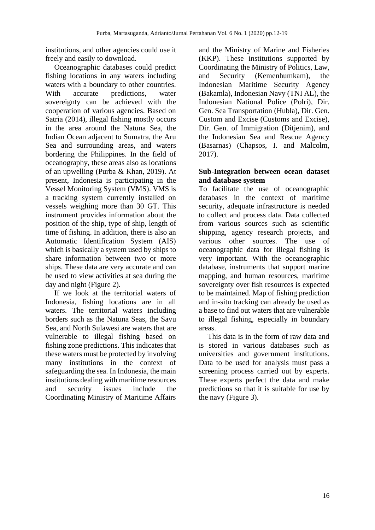institutions, and other agencies could use it freely and easily to download.

Oceanographic databases could predict fishing locations in any waters including waters with a boundary to other countries. With accurate predictions, water sovereignty can be achieved with the cooperation of various agencies. Based on Satria (2014), illegal fishing mostly occurs in the area around the Natuna Sea, the Indian Ocean adjacent to Sumatra, the Aru Sea and surrounding areas, and waters bordering the Philippines. In the field of oceanography, these areas also as locations of an upwelling (Purba & Khan, 2019). At present, Indonesia is participating in the Vessel Monitoring System (VMS). VMS is a tracking system currently installed on vessels weighing more than 30 GT. This instrument provides information about the position of the ship, type of ship, length of time of fishing. In addition, there is also an Automatic Identification System (AIS) which is basically a system used by ships to share information between two or more ships. These data are very accurate and can be used to view activities at sea during the day and night (Figure 2).

If we look at the territorial waters of Indonesia, fishing locations are in all waters. The territorial waters including borders such as the Natuna Seas, the Savu Sea, and North Sulawesi are waters that are vulnerable to illegal fishing based on fishing zone predictions. This indicates that these waters must be protected by involving many institutions in the context of safeguarding the sea. In Indonesia, the main institutions dealing with maritime resources and security issues include the Coordinating Ministry of Maritime Affairs

and the Ministry of Marine and Fisheries (KKP). These institutions supported by Coordinating the Ministry of Politics, Law, and Security (Kemenhumkam), Indonesian Maritime Security Agency (Bakamla), Indonesian Navy (TNI AL), the Indonesian National Police (Polri), Dir. Gen. Sea Transportation (Hubla), Dir. Gen. Custom and Excise (Customs and Excise), Dir. Gen. of Immigration (Ditjenim), and the Indonesian Sea and Rescue Agency (Basarnas) (Chapsos, I. and Malcolm, 2017).

## **Sub-Integration between ocean dataset and database system**

To facilitate the use of oceanographic databases in the context of maritime security, adequate infrastructure is needed to collect and process data. Data collected from various sources such as scientific shipping, agency research projects, and various other sources. The use of oceanographic data for illegal fishing is very important. With the oceanographic database, instruments that support marine mapping, and human resources, maritime sovereignty over fish resources is expected to be maintained. Map of fishing prediction and in-situ tracking can already be used as a base to find out waters that are vulnerable to illegal fishing, especially in boundary areas.

This data is in the form of raw data and is stored in various databases such as universities and government institutions. Data to be used for analysis must pass a screening process carried out by experts. These experts perfect the data and make predictions so that it is suitable for use by the navy (Figure 3).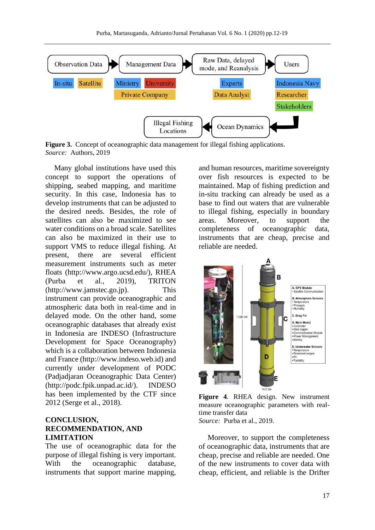

Figure 3. Concept of oceanographic data management for illegal fishing applications. *Source:* Authors, 2019

Many global institutions have used this concept to support the operations of shipping, seabed mapping, and maritime security. In this case, Indonesia has to develop instruments that can be adjusted to the desired needs. Besides, the role of satellites can also be maximized to see water conditions on a broad scale. Satellites can also be maximized in their use to support VMS to reduce illegal fishing. At present, there are several efficient measurement instruments such as meter floats (http://www.argo.ucsd.edu/), RHEA (Purba et al., 2019), TRITON [\(http://www.jamstec.go.jp\)](http://www.jamstec.go.jp/). This instrument can provide oceanographic and atmospheric data both in real-time and in delayed mode. On the other hand, some oceanographic databases that already exist in Indonesia are INDESO (Infrastructure Development for Space Oceanography) which is a collaboration between Indonesia and France (http://www.indeso.web.id) and currently under development of PODC (Padjadjaran Oceanographic Data Center) (http://podc.fpik.unpad.ac.id/). INDESO has been implemented by the CTF since 2012 (Serge et al., 2018).

## **CONCLUSION, RECOMMENDATION, AND LIMITATION**

The use of oceanographic data for the purpose of illegal fishing is very important. With the oceanographic database, instruments that support marine mapping, and human resources, maritime sovereignty over fish resources is expected to be maintained. Map of fishing prediction and in-situ tracking can already be used as a base to find out waters that are vulnerable to illegal fishing, especially in boundary areas. Moreover, to support the completeness of oceanographic data, instruments that are cheap, precise and reliable are needed.



**Figure 4**. RHEA design. New instrument measure oceanographic parameters with realtime transfer data *Source:* Purba et al., 2019.

Moreover, to support the completeness of oceanographic data, instruments that are cheap, precise and reliable are needed. One of the new instruments to cover data with cheap, efficient, and reliable is the Drifter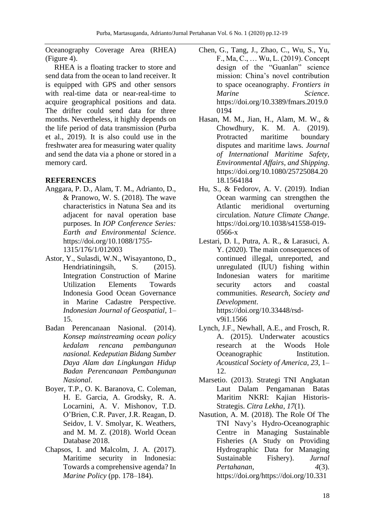Oceanography Coverage Area (RHEA) (Figure 4).

RHEA is a floating tracker to store and send data from the ocean to land receiver. It is equipped with GPS and other sensors with real-time data or near-real-time to acquire geographical positions and data. The drifter could send data for three months. Nevertheless, it highly depends on the life period of data transmission (Purba et al., 2019). It is also could use in the freshwater area for measuring water quality and send the data via a phone or stored in a memory card.

## **REFERENCES**

- Anggara, P. D., Alam, T. M., Adrianto, D., & Pranowo, W. S. (2018). The wave characteristics in Natuna Sea and its adjacent for naval operation base purposes. In *IOP Conference Series: Earth and Environmental Science*. https://doi.org/10.1088/1755- 1315/176/1/012003
- Astor, Y., Sulasdi, W.N., Wisayantono, D., Hendriatiningsih, S. (2015). Integration Construction of Marine Utilization Elements Towards Indonesia Good Ocean Governance in Marine Cadastre Perspective. *Indonesian Journal of Geospatial*, 1– 15.
- Badan Perencanaan Nasional. (2014). *Konsep mainstreaming ocean policy kedalam rencana pembangunan nasional. Kedeputian Bidang Sumber Daya Alam dan Lingkungan Hidup Badan Perencanaan Pembangunan Nasional*.
- Boyer, T.P., O. K. Baranova, C. Coleman, H. E. Garcia, A. Grodsky, R. A. Locarnini, A. V. Mishonov, T.D. O'Brien, C.R. Paver, J.R. Reagan, D. Seidov, I. V. Smolyar, K. Weathers, and M. M. Z. (2018). World Ocean Database 2018.
- Chapsos, I. and Malcolm, J. A. (2017). Maritime security in Indonesia: Towards a comprehensive agenda? In *Marine Policy* (pp. 178–184).
- Chen, G., Tang, J., Zhao, C., Wu, S., Yu, F., Ma, C., … Wu, L. (2019). Concept design of the "Guanlan" science mission: China's novel contribution to space oceanography. *Frontiers in Marine Science*. https://doi.org/10.3389/fmars.2019.0 0194
- Hasan, M. M., Jian, H., Alam, M. W., & Chowdhury, K. M. A. (2019). Protracted maritime boundary disputes and maritime laws. *Journal of International Maritime Safety, Environmental Affairs, and Shipping*. https://doi.org/10.1080/25725084.20 18.1564184
- Hu, S., & Fedorov, A. V. (2019). Indian Ocean warming can strengthen the Atlantic meridional overturning circulation. *Nature Climate Change*. https://doi.org/10.1038/s41558-019- 0566-x
- Lestari, D. I., Putra, A. R., & Larasuci, A. Y. (2020). The main consequences of continued illegal, unreported, and unregulated (IUU) fishing within Indonesian waters for maritime security actors and coastal communities. *Research, Society and Development*. https://doi.org/10.33448/rsdv9i1.1566
- Lynch, J.F., Newhall, A.E., and Frosch, R. A. (2015). Underwater acoustics research at the Woods Hole Oceanographic Institution. *Acoustical Society of America*, *23*, 1– 12.
- Marsetio. (2013). Strategi TNI Angkatan Laut Dalam Pengamanan Batas Maritim NKRI: Kajian Historis-Strategis. *Citra Lekha*, *17*(1).
- Nasution, A. M. (2018). The Role Of The TNI Navy's Hydro-Oceanographic Centre in Managing Sustainable Fisheries (A Study on Providing Hydrographic Data for Managing Sustainable Fishery). *Jurnal Pertahanan*, *4*(3). https://doi.org/https://doi.org/10.331